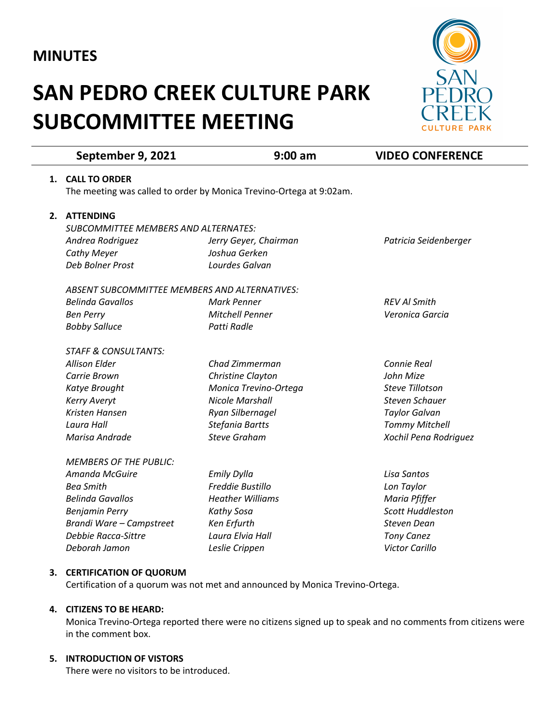## **MINUTES**

# **SAN PEDRO CREEK CULTURE PARK SUBCOMMITTEE MEETING**



|    | September 9, 2021                                                   | $9:00$ am               | <b>VIDEO CONFERENCE</b> |
|----|---------------------------------------------------------------------|-------------------------|-------------------------|
| 1. | <b>CALL TO ORDER</b>                                                |                         |                         |
|    | The meeting was called to order by Monica Trevino-Ortega at 9:02am. |                         |                         |
|    | 2. ATTENDING                                                        |                         |                         |
|    | <b>SUBCOMMITTEE MEMBERS AND ALTERNATES:</b>                         |                         |                         |
|    | Andrea Rodriguez                                                    | Jerry Geyer, Chairman   | Patricia Seidenberger   |
|    | Cathy Meyer                                                         | Joshua Gerken           |                         |
|    | Deb Bolner Prost                                                    | Lourdes Galvan          |                         |
|    | <b>ABSENT SUBCOMMITTEE MEMBERS AND ALTERNATIVES:</b>                |                         |                         |
|    | <b>Belinda Gavallos</b>                                             | <b>Mark Penner</b>      | <b>REV AI Smith</b>     |
|    | <b>Ben Perry</b>                                                    | Mitchell Penner         | Veronica Garcia         |
|    | <b>Bobby Salluce</b>                                                | Patti Radle             |                         |
|    | <b>STAFF &amp; CONSULTANTS:</b>                                     |                         |                         |
|    | <b>Allison Elder</b>                                                | Chad Zimmerman          | Connie Real             |
|    | Carrie Brown                                                        | Christine Clayton       | John Mize               |
|    | Katye Brought                                                       | Monica Trevino-Ortega   | <b>Steve Tillotson</b>  |
|    | <b>Kerry Averyt</b>                                                 | <b>Nicole Marshall</b>  | <b>Steven Schauer</b>   |
|    | Kristen Hansen                                                      | Ryan Silbernagel        | <b>Taylor Galvan</b>    |
|    | Laura Hall                                                          | Stefania Bartts         | <b>Tommy Mitchell</b>   |
|    | Marisa Andrade                                                      | <b>Steve Graham</b>     | Xochil Pena Rodriguez   |
|    | <b>MEMBERS OF THE PUBLIC:</b>                                       |                         |                         |
|    | Amanda McGuire                                                      | <b>Emily Dylla</b>      | Lisa Santos             |
|    | <b>Bea Smith</b>                                                    | Freddie Bustillo        | Lon Taylor              |
|    | <b>Belinda Gavallos</b>                                             | <b>Heather Williams</b> | Maria Pfiffer           |
|    | <b>Benjamin Perry</b>                                               | Kathy Sosa              | <b>Scott Huddleston</b> |
|    | Brandi Ware - Campstreet                                            | Ken Erfurth             | <b>Steven Dean</b>      |
|    | Debbie Racca-Sittre                                                 | Laura Elvia Hall        | <b>Tony Canez</b>       |
|    | Deborah Jamon                                                       | Leslie Crippen          | <b>Victor Carillo</b>   |
|    |                                                                     |                         |                         |

### **3. CERTIFICATION OF QUORUM**

Certification of a quorum was not met and announced by Monica Trevino-Ortega.

#### **4. CITIZENS TO BE HEARD:**

Monica Trevino-Ortega reported there were no citizens signed up to speak and no comments from citizens were in the comment box.

#### **5. INTRODUCTION OF VISTORS**

There were no visitors to be introduced.